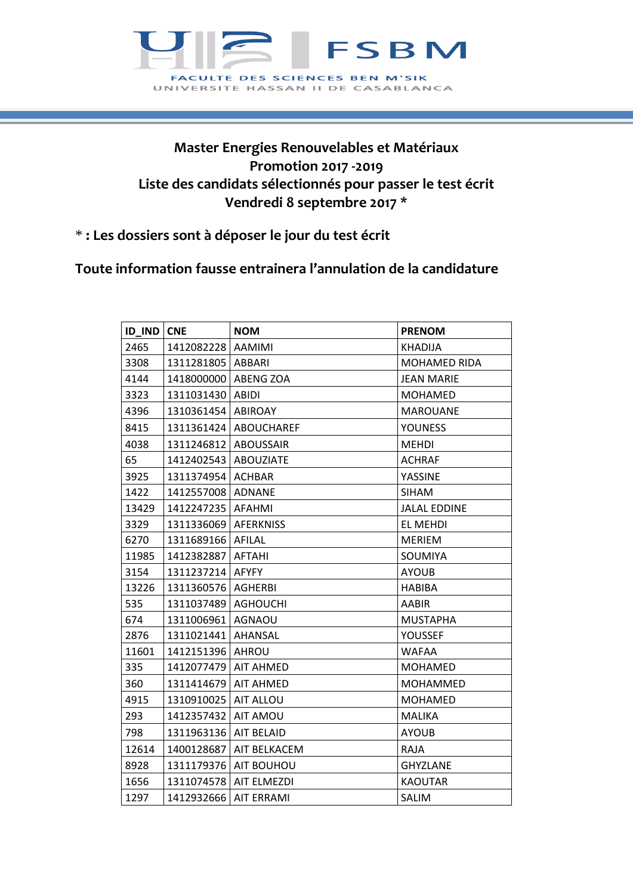

## **Master Energies Renouvelables et Matériaux Promotion 2017 -2019 Liste des candidats sélectionnés pour passer le test écrit Vendredi 8 septembre 2017 \***

## \* **: Les dossiers sont à déposer le jour du test écrit**

## **Toute information fausse entrainera l'annulation de la candidature**

| ID_IND | <b>CNE</b>          | <b>NOM</b>              | <b>PRENOM</b>       |
|--------|---------------------|-------------------------|---------------------|
| 2465   | 1412082228          | AAMIMI                  | <b>KHADIJA</b>      |
| 3308   | 1311281805   ABBARI |                         | <b>MOHAMED RIDA</b> |
| 4144   | 1418000000          | <b>ABENG ZOA</b>        | <b>JEAN MARIE</b>   |
| 3323   | 1311031430   ABIDI  |                         | <b>MOHAMED</b>      |
| 4396   | 1310361454          | <b>ABIROAY</b>          | <b>MAROUANE</b>     |
| 8415   |                     | 1311361424   ABOUCHAREF | <b>YOUNESS</b>      |
| 4038   | 1311246812          | <b>ABOUSSAIR</b>        | <b>MEHDI</b>        |
| 65     | 1412402543          | <b>ABOUZIATE</b>        | <b>ACHRAF</b>       |
| 3925   | 1311374954          | <b>ACHBAR</b>           | YASSINE             |
| 1422   | 1412557008          | <b>ADNANE</b>           | <b>SIHAM</b>        |
| 13429  | 1412247235          | <b>AFAHMI</b>           | <b>JALAL EDDINE</b> |
| 3329   | 1311336069          | <b>AFERKNISS</b>        | <b>EL MEHDI</b>     |
| 6270   | 1311689166          | AFILAL                  | <b>MERIEM</b>       |
| 11985  | 1412382887          | <b>AFTAHI</b>           | SOUMIYA             |
| 3154   | 1311237214          | <b>AFYFY</b>            | <b>AYOUB</b>        |
| 13226  | 1311360576          | <b>AGHERBI</b>          | <b>HABIBA</b>       |
| 535    | 1311037489          | <b>AGHOUCHI</b>         | AABIR               |
| 674    | 1311006961          | <b>AGNAOU</b>           | <b>MUSTAPHA</b>     |
| 2876   | 1311021441          | AHANSAL                 | YOUSSEF             |
| 11601  | 1412151396          | <b>AHROU</b>            | <b>WAFAA</b>        |
| 335    | 1412077479          | <b>AIT AHMED</b>        | <b>MOHAMED</b>      |
| 360    | 1311414679          | <b>AIT AHMED</b>        | <b>MOHAMMED</b>     |
| 4915   | 1310910025          | AIT ALLOU               | <b>MOHAMED</b>      |
| 293    | 1412357432          | AIT AMOU                | <b>MALIKA</b>       |
| 798    | 1311963136          | <b>AIT BELAID</b>       | <b>AYOUB</b>        |
| 12614  | 1400128687          | AIT BELKACEM            | <b>RAJA</b>         |
| 8928   | 1311179376          | AIT BOUHOU              | <b>GHYZLANE</b>     |
| 1656   | 1311074578          | <b>AIT ELMEZDI</b>      | <b>KAOUTAR</b>      |
| 1297   | 1412932666          | <b>AIT ERRAMI</b>       | SALIM               |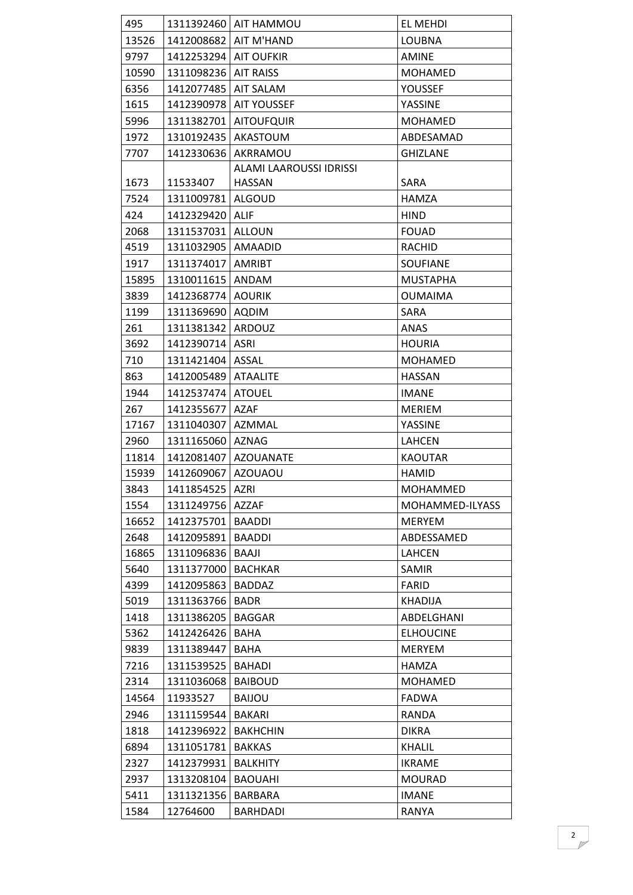| 495   |                         | 1311392460   AIT HAMMOU        | EL MEHDI         |
|-------|-------------------------|--------------------------------|------------------|
| 13526 | 1412008682              | AIT M'HAND                     | <b>LOUBNA</b>    |
| 9797  | 1412253294   AIT OUFKIR |                                | <b>AMINE</b>     |
| 10590 | 1311098236              | <b>AIT RAISS</b>               | <b>MOHAMED</b>   |
| 6356  | 1412077485              | <b>AIT SALAM</b>               | YOUSSEF          |
| 1615  | 1412390978              | <b>AIT YOUSSEF</b>             | YASSINE          |
| 5996  | 1311382701              | <b>AITOUFQUIR</b>              | <b>MOHAMED</b>   |
| 1972  | 1310192435              | AKASTOUM                       | ABDESAMAD        |
| 7707  | 1412330636              | AKRRAMOU                       | <b>GHIZLANE</b>  |
|       |                         | <b>ALAMI LAAROUSSI IDRISSI</b> |                  |
| 1673  | 11533407                | <b>HASSAN</b>                  | SARA             |
| 7524  | 1311009781   ALGOUD     |                                | HAMZA            |
| 424   | 1412329420   ALIF       |                                | <b>HIND</b>      |
| 2068  | 1311537031              | ALLOUN                         | <b>FOUAD</b>     |
| 4519  | 1311032905              | AMAADID                        | <b>RACHID</b>    |
| 1917  | 1311374017              | <b>AMRIBT</b>                  | <b>SOUFIANE</b>  |
| 15895 | 1310011615 ANDAM        |                                | <b>MUSTAPHA</b>  |
| 3839  | 1412368774              | <b>AOURIK</b>                  | <b>OUMAIMA</b>   |
| 1199  | 1311369690              | <b>AQDIM</b>                   | SARA             |
| 261   | 1311381342              | ARDOUZ                         | ANAS             |
| 3692  | 1412390714              | <b>ASRI</b>                    | <b>HOURIA</b>    |
| 710   | 1311421404              | ASSAL                          | <b>MOHAMED</b>   |
| 863   | 1412005489              | <b>ATAALITE</b>                | <b>HASSAN</b>    |
| 1944  | 1412537474              | <b>ATOUEL</b>                  | <b>IMANE</b>     |
| 267   | 1412355677              | <b>AZAF</b>                    | <b>MERIEM</b>    |
| 17167 | 1311040307              | AZMMAL                         | YASSINE          |
| 2960  | 1311165060 AZNAG        |                                | <b>LAHCEN</b>    |
| 11814 |                         | 1412081407   AZOUANATE         | <b>KAOUTAR</b>   |
| 15939 | 1412609067              | <b>AZOUAOU</b>                 | <b>HAMID</b>     |
| 3843  | 1411854525   AZRI       |                                | <b>MOHAMMED</b>  |
| 1554  | 1311249756   AZZAF      |                                | MOHAMMED-ILYASS  |
| 16652 | 1412375701              | <b>BAADDI</b>                  | <b>MERYEM</b>    |
| 2648  | 1412095891              | <b>BAADDI</b>                  | ABDESSAMED       |
| 16865 | 1311096836              | BAAJI                          | <b>LAHCEN</b>    |
| 5640  | 1311377000              | <b>BACHKAR</b>                 | SAMIR            |
| 4399  | 1412095863              | <b>BADDAZ</b>                  | <b>FARID</b>     |
| 5019  | 1311363766              | <b>BADR</b>                    | <b>KHADIJA</b>   |
| 1418  | 1311386205              | <b>BAGGAR</b>                  | ABDELGHANI       |
| 5362  | 1412426426              | <b>BAHA</b>                    | <b>ELHOUCINE</b> |
| 9839  | 1311389447              | BAHA                           | <b>MERYEM</b>    |
| 7216  | 1311539525              | <b>BAHADI</b>                  | HAMZA            |
| 2314  | 1311036068              | <b>BAIBOUD</b>                 | <b>MOHAMED</b>   |
| 14564 | 11933527                | <b>BAIJOU</b>                  | <b>FADWA</b>     |
| 2946  | 1311159544              | <b>BAKARI</b>                  | RANDA            |
| 1818  | 1412396922              | <b>BAKHCHIN</b>                | <b>DIKRA</b>     |
| 6894  | 1311051781              | <b>BAKKAS</b>                  | <b>KHALIL</b>    |
| 2327  | 1412379931              | <b>BALKHITY</b>                | <b>IKRAME</b>    |
| 2937  | 1313208104              | <b>BAOUAHI</b>                 | <b>MOURAD</b>    |
| 5411  | 1311321356              | BARBARA                        | <b>IMANE</b>     |
| 1584  | 12764600                | <b>BARHDADI</b>                | RANYA            |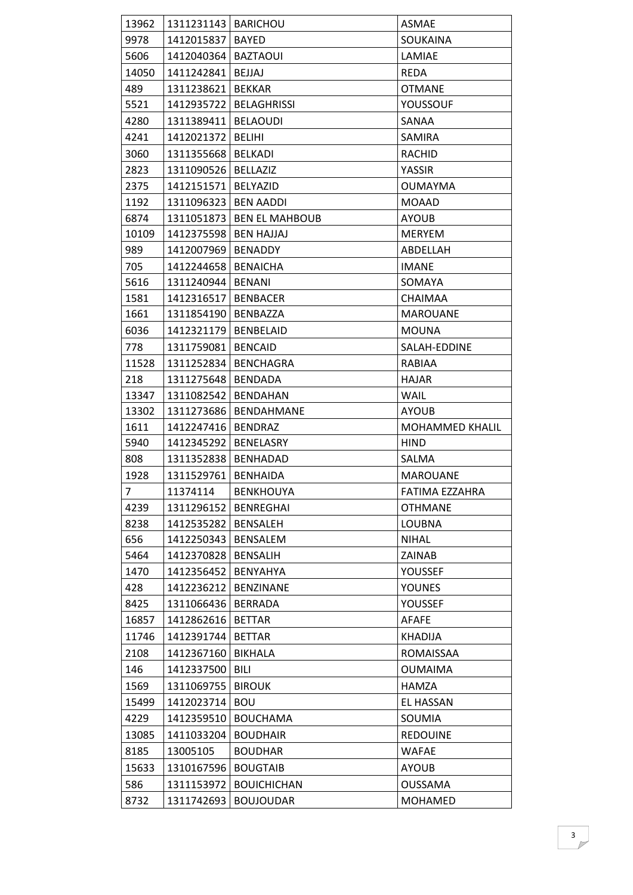| 13962          | 1311231143   BARICHOU  |                             | <b>ASMAE</b>           |
|----------------|------------------------|-----------------------------|------------------------|
| 9978           | 1412015837   BAYED     |                             | SOUKAINA               |
| 5606           | 1412040364             | <b>BAZTAOUI</b>             | LAMIAE                 |
| 14050          | 1411242841   BEJJAJ    |                             | <b>REDA</b>            |
| 489            | 1311238621             | <b>BEKKAR</b>               | <b>OTMANE</b>          |
| 5521           | 1412935722             | <b>BELAGHRISSI</b>          | YOUSSOUF               |
| 4280           | 1311389411             | <b>BELAOUDI</b>             | SANAA                  |
| 4241           | 1412021372             | <b>BELIHI</b>               | SAMIRA                 |
| 3060           | 1311355668             | <b>BELKADI</b>              | <b>RACHID</b>          |
| 2823           | 1311090526             | <b>BELLAZIZ</b>             | YASSIR                 |
| 2375           | 1412151571             | BELYAZID                    | <b>OUMAYMA</b>         |
| 1192           | 1311096323             | <b>BEN AADDI</b>            | <b>MOAAD</b>           |
| 6874           |                        | 1311051873   BEN EL MAHBOUB | <b>AYOUB</b>           |
| 10109          | 1412375598             | <b>BEN HAJJAJ</b>           | <b>MERYEM</b>          |
| 989            | 1412007969             | <b>BENADDY</b>              | ABDELLAH               |
| 705            | 1412244658             | <b>BENAICHA</b>             | <b>IMANE</b>           |
| 5616           | 1311240944             | <b>BENANI</b>               | SOMAYA                 |
| 1581           | 1412316517             | <b>BENBACER</b>             | CHAIMAA                |
| 1661           | 1311854190             | <b>BENBAZZA</b>             | <b>MAROUANE</b>        |
| 6036           | 1412321179   BENBELAID |                             | <b>MOUNA</b>           |
| 778            | 1311759081             | <b>BENCAID</b>              | SALAH-EDDINE           |
| 11528          | 1311252834             | <b>BENCHAGRA</b>            | RABIAA                 |
| 218            | 1311275648             | <b>BENDADA</b>              | <b>HAJAR</b>           |
| 13347          | 1311082542             | <b>BENDAHAN</b>             | <b>WAIL</b>            |
| 13302          | 1311273686             | <b>BENDAHMANE</b>           | <b>AYOUB</b>           |
| 1611           | 1412247416             | <b>BENDRAZ</b>              | <b>MOHAMMED KHALIL</b> |
| 5940           | 1412345292             | BENELASRY                   | HIND                   |
| 808            | 1311352838             | <b>BENHADAD</b>             | SALMA                  |
| 1928           | 1311529761             | <b>BENHAIDA</b>             | <b>MAROUANE</b>        |
| 7 <sup>7</sup> | 11374114               | <b>BENKHOUYA</b>            | FATIMA EZZAHRA         |
| 4239           | 1311296152             | <b>BENREGHAI</b>            | <b>OTHMANE</b>         |
| 8238           | 1412535282             | <b>BENSALEH</b>             | <b>LOUBNA</b>          |
| 656            | 1412250343             | <b>BENSALEM</b>             | <b>NIHAL</b>           |
| 5464           | 1412370828             | <b>BENSALIH</b>             | ZAINAB                 |
| 1470           | 1412356452             | BENYAHYA                    | YOUSSEF                |
| 428            | 1412236212             | <b>BENZINANE</b>            | <b>YOUNES</b>          |
| 8425           | 1311066436             | <b>BERRADA</b>              | YOUSSEF                |
| 16857          | 1412862616             | <b>BETTAR</b>               | <b>AFAFE</b>           |
| 11746          | 1412391744             | <b>BETTAR</b>               | KHADIJA                |
| 2108           | 1412367160             | BIKHALA                     | ROMAISSAA              |
| 146            | 1412337500             | BILI                        | <b>OUMAIMA</b>         |
| 1569           | 1311069755             | <b>BIROUK</b>               | <b>HAMZA</b>           |
| 15499          | 1412023714             | <b>BOU</b>                  | <b>EL HASSAN</b>       |
| 4229           | 1412359510             | <b>BOUCHAMA</b>             | SOUMIA                 |
| 13085          | 1411033204             | <b>BOUDHAIR</b>             | <b>REDOUINE</b>        |
| 8185           | 13005105               | <b>BOUDHAR</b>              | <b>WAFAE</b>           |
| 15633          | 1310167596             | <b>BOUGTAIB</b>             | <b>AYOUB</b>           |
| 586            | 1311153972             | <b>BOUICHICHAN</b>          | <b>OUSSAMA</b>         |
| 8732           | 1311742693             | <b>BOUJOUDAR</b>            | MOHAMED                |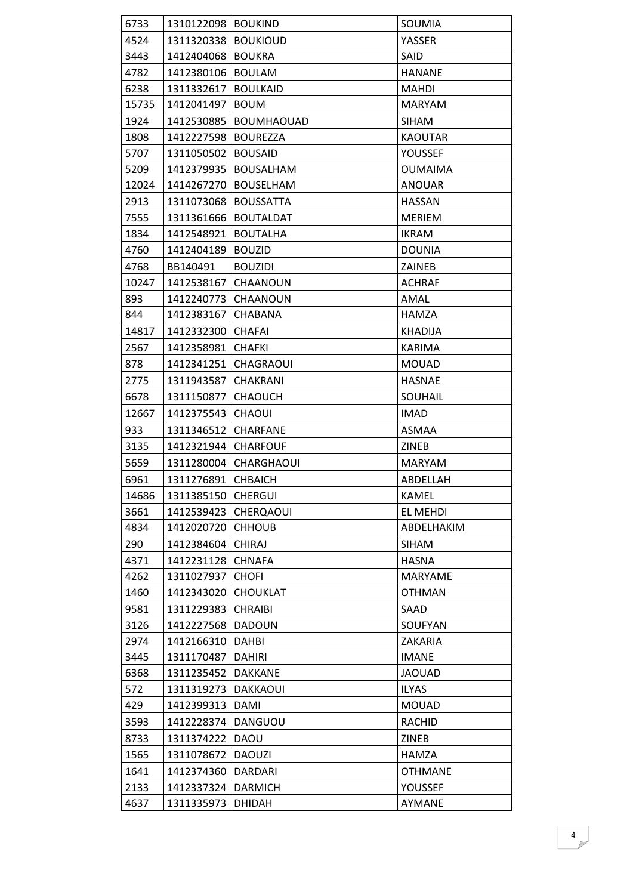| 6733  | 1310122098   BOUKIND |                   | SOUMIA         |
|-------|----------------------|-------------------|----------------|
| 4524  | 1311320338           | <b>BOUKIOUD</b>   | YASSER         |
| 3443  | 1412404068           | <b>BOUKRA</b>     | SAID           |
| 4782  | 1412380106           | <b>BOULAM</b>     | <b>HANANE</b>  |
| 6238  | 1311332617           | <b>BOULKAID</b>   | <b>MAHDI</b>   |
| 15735 | 1412041497           | <b>BOUM</b>       | <b>MARYAM</b>  |
| 1924  | 1412530885           | <b>BOUMHAOUAD</b> | <b>SIHAM</b>   |
| 1808  | 1412227598           | <b>BOUREZZA</b>   | <b>KAOUTAR</b> |
| 5707  | 1311050502           | <b>BOUSAID</b>    | YOUSSEF        |
| 5209  | 1412379935           | <b>BOUSALHAM</b>  | <b>OUMAIMA</b> |
| 12024 | 1414267270           | <b>BOUSELHAM</b>  | <b>ANOUAR</b>  |
| 2913  | 1311073068           | <b>BOUSSATTA</b>  | <b>HASSAN</b>  |
| 7555  | 1311361666           | <b>BOUTALDAT</b>  | <b>MERIEM</b>  |
| 1834  | 1412548921           | <b>BOUTALHA</b>   | <b>IKRAM</b>   |
| 4760  | 1412404189           | <b>BOUZID</b>     | <b>DOUNIA</b>  |
| 4768  | BB140491             | <b>BOUZIDI</b>    | ZAINEB         |
| 10247 | 1412538167           | CHAANOUN          | <b>ACHRAF</b>  |
| 893   | 1412240773           | CHAANOUN          | AMAL           |
| 844   | 1412383167           | CHABANA           | HAMZA          |
| 14817 | 1412332300           | <b>CHAFAI</b>     | <b>KHADIJA</b> |
| 2567  | 1412358981           | <b>CHAFKI</b>     | KARIMA         |
| 878   | 1412341251           | <b>CHAGRAOUI</b>  | <b>MOUAD</b>   |
| 2775  | 1311943587           | <b>CHAKRANI</b>   | <b>HASNAE</b>  |
| 6678  | 1311150877           | <b>CHAOUCH</b>    | SOUHAIL        |
| 12667 | 1412375543           | <b>CHAOUI</b>     | <b>IMAD</b>    |
| 933   | 1311346512           | <b>CHARFANE</b>   | ASMAA          |
| 3135  | 1412321944           | <b>CHARFOUF</b>   | ZINEB          |
| 5659  | 1311280004           | CHARGHAOUI        | <b>MARYAM</b>  |
| 6961  | 1311276891           | <b>CHBAICH</b>    | ABDELLAH       |
| 14686 | 1311385150 CHERGUI   |                   | KAMEL          |
| 3661  | 1412539423           | <b>CHERQAOUI</b>  | EL MEHDI       |
| 4834  | 1412020720           | <b>CHHOUB</b>     | ABDELHAKIM     |
| 290   | 1412384604           | <b>CHIRAJ</b>     | <b>SIHAM</b>   |
| 4371  | 1412231128           | <b>CHNAFA</b>     | <b>HASNA</b>   |
| 4262  | 1311027937           | <b>CHOFI</b>      | MARYAME        |
| 1460  | 1412343020           | <b>CHOUKLAT</b>   | <b>OTHMAN</b>  |
| 9581  | 1311229383           | <b>CHRAIBI</b>    | SAAD           |
| 3126  | 1412227568           | <b>DADOUN</b>     | SOUFYAN        |
| 2974  | 1412166310           | <b>DAHBI</b>      | ZAKARIA        |
| 3445  | 1311170487           | <b>DAHIRI</b>     | <b>IMANE</b>   |
| 6368  | 1311235452           | <b>DAKKANE</b>    | <b>JAOUAD</b>  |
| 572   | 1311319273           | <b>DAKKAOUI</b>   | <b>ILYAS</b>   |
| 429   | 1412399313           | <b>DAMI</b>       | <b>MOUAD</b>   |
| 3593  | 1412228374           | DANGUOU           | <b>RACHID</b>  |
| 8733  | 1311374222           | DAOU              | <b>ZINEB</b>   |
| 1565  | 1311078672           | <b>DAOUZI</b>     | <b>HAMZA</b>   |
| 1641  | 1412374360           | <b>DARDARI</b>    | <b>OTHMANE</b> |
| 2133  | 1412337324           | <b>DARMICH</b>    | YOUSSEF        |
| 4637  | 1311335973           | <b>DHIDAH</b>     | AYMANE         |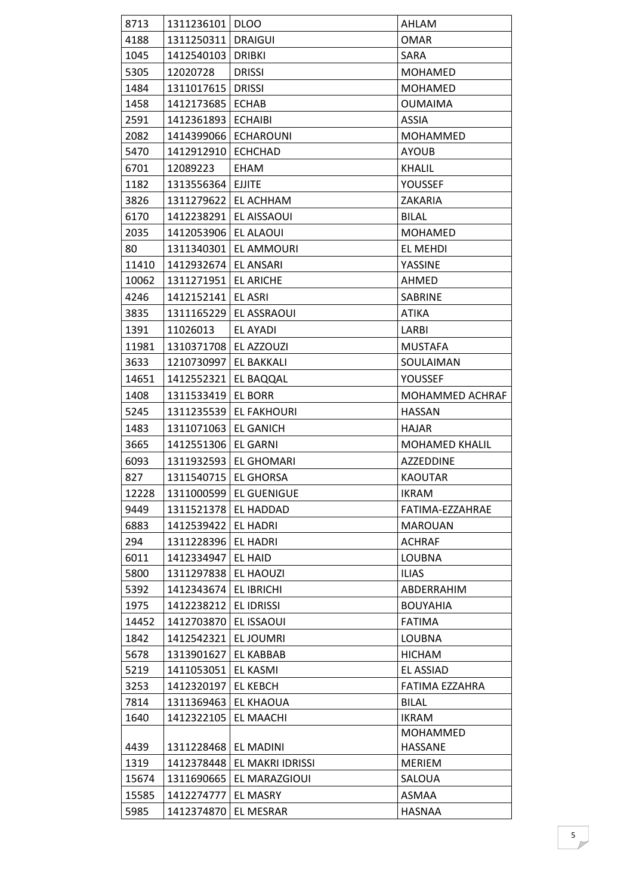| 8713  | 1311236101   DLOO      |                        | AHLAM                 |
|-------|------------------------|------------------------|-----------------------|
| 4188  | 1311250311             | <b>DRAIGUI</b>         | <b>OMAR</b>           |
| 1045  | 1412540103             | <b>DRIBKI</b>          | SARA                  |
| 5305  | 12020728               | <b>DRISSI</b>          | <b>MOHAMED</b>        |
| 1484  | 1311017615             | <b>DRISSI</b>          | <b>MOHAMED</b>        |
| 1458  | 1412173685             | <b>ECHAB</b>           | <b>OUMAIMA</b>        |
| 2591  | 1412361893             | <b>ECHAIBI</b>         | <b>ASSIA</b>          |
| 2082  | 1414399066             | <b>ECHAROUNI</b>       | <b>MOHAMMED</b>       |
| 5470  | 1412912910             | <b>ECHCHAD</b>         | <b>AYOUB</b>          |
| 6701  | 12089223               | EHAM                   | KHALIL                |
| 1182  | 1313556364             | <b>EJJITE</b>          | YOUSSEF               |
| 3826  | 1311279622             | EL ACHHAM              | ZAKARIA               |
| 6170  |                        | 1412238291 EL AISSAOUI | <b>BILAL</b>          |
| 2035  | 1412053906             | <b>EL ALAOUI</b>       | <b>MOHAMED</b>        |
| 80    | 1311340301             | <b>EL AMMOURI</b>      | EL MEHDI              |
| 11410 | 1412932674             | EL ANSARI              | YASSINE               |
| 10062 | 1311271951   EL ARICHE |                        | AHMED                 |
| 4246  | 1412152141             | <b>EL ASRI</b>         | <b>SABRINE</b>        |
| 3835  | 1311165229             | <b>EL ASSRAOUI</b>     | <b>ATIKA</b>          |
| 1391  | 11026013               | EL AYADI               | LARBI                 |
| 11981 | 1310371708             | EL AZZOUZI             | <b>MUSTAFA</b>        |
| 3633  | 1210730997             | <b>EL BAKKALI</b>      | SOULAIMAN             |
| 14651 | 1412552321             | EL BAQQAL              | YOUSSEF               |
| 1408  | 1311533419             | <b>EL BORR</b>         | MOHAMMED ACHRAF       |
| 5245  | 1311235539             | <b>EL FAKHOURI</b>     | <b>HASSAN</b>         |
| 1483  | 1311071063             | <b>EL GANICH</b>       | HAJAR                 |
| 3665  | 1412551306   EL GARNI  |                        | <b>MOHAMED KHALIL</b> |
| 6093  | 1311932593             | <b>EL GHOMARI</b>      | <b>AZZEDDINE</b>      |
| 827   | 1311540715   EL GHORSA |                        | <b>KAOUTAR</b>        |
| 12228 | 1311000599             | <b>EL GUENIGUE</b>     | <b>IKRAM</b>          |
| 9449  | 1311521378             | EL HADDAD              | FATIMA-EZZAHRAE       |
| 6883  | 1412539422             | EL HADRI               | <b>MAROUAN</b>        |
| 294   | 1311228396             | <b>EL HADRI</b>        | <b>ACHRAF</b>         |
| 6011  | 1412334947             | <b>EL HAID</b>         | <b>LOUBNA</b>         |
| 5800  | 1311297838             | EL HAOUZI              | <b>ILIAS</b>          |
| 5392  | 1412343674             | EL IBRICHI             | ABDERRAHIM            |
| 1975  | 1412238212             | EL IDRISSI             | <b>BOUYAHIA</b>       |
| 14452 | 1412703870             | EL ISSAOUI             | <b>FATIMA</b>         |
| 1842  | 1412542321             | <b>ELJOUMRI</b>        | LOUBNA                |
| 5678  | 1313901627             | EL KABBAB              | <b>HICHAM</b>         |
| 5219  | 1411053051             | EL KASMI               | EL ASSIAD             |
| 3253  | 1412320197             | <b>EL KEBCH</b>        | FATIMA EZZAHRA        |
| 7814  | 1311369463             | EL KHAOUA              | <b>BILAL</b>          |
| 1640  | 1412322105             | EL MAACHI              | <b>IKRAM</b>          |
|       |                        |                        | MOHAMMED              |
| 4439  | 1311228468             | EL MADINI              | HASSANE               |
| 1319  | 1412378448             | EL MAKRI IDRISSI       | <b>MERIEM</b>         |
| 15674 | 1311690665             | EL MARAZGIOUI          | SALOUA                |
| 15585 | 1412274777             | EL MASRY               | ASMAA                 |
| 5985  | 1412374870             | EL MESRAR              | <b>HASNAA</b>         |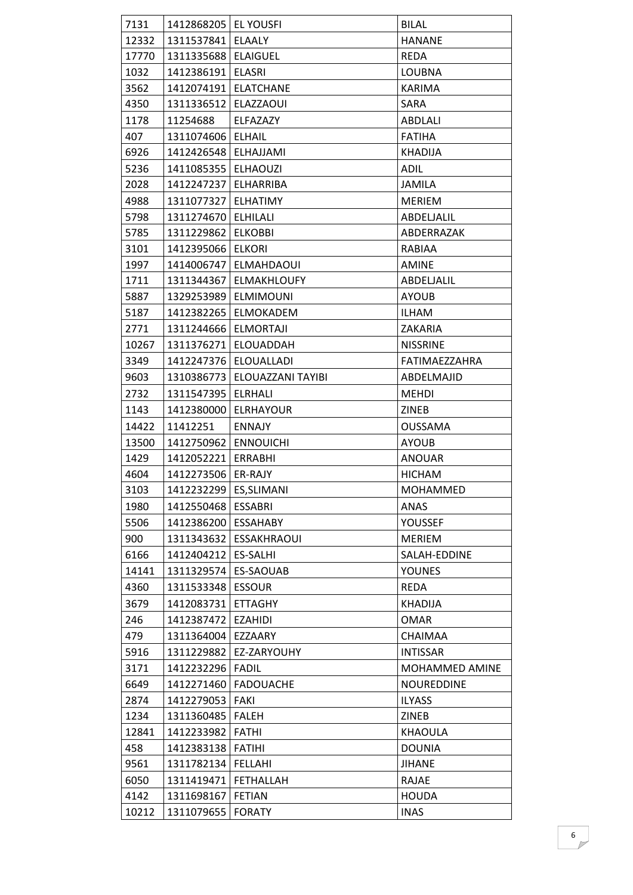| 7131  | 1412868205   EL YOUSFI   |                          | <b>BILAL</b>      |
|-------|--------------------------|--------------------------|-------------------|
| 12332 | 1311537841   ELAALY      |                          | <b>HANANE</b>     |
| 17770 | 1311335688   ELAIGUEL    |                          | <b>REDA</b>       |
| 1032  | 1412386191   ELASRI      |                          | <b>LOUBNA</b>     |
| 3562  | 1412074191   ELATCHANE   |                          | KARIMA            |
| 4350  | 1311336512   ELAZZAOUI   |                          | SARA              |
| 1178  | 11254688                 | ELFAZAZY                 | ABDLALI           |
| 407   | 1311074606   ELHAIL      |                          | <b>FATIHA</b>     |
| 6926  | 1412426548   ELHAJJAMI   |                          | <b>KHADIJA</b>    |
| 5236  | 1411085355               | <b>ELHAOUZI</b>          | ADIL              |
| 2028  | 1412247237               | ELHARRIBA                | JAMILA            |
| 4988  | 1311077327               | <b>ELHATIMY</b>          | <b>MERIEM</b>     |
| 5798  | 1311274670               | <b>ELHILALI</b>          | ABDELJALIL        |
| 5785  | 1311229862               | <b>ELKOBBI</b>           | ABDERRAZAK        |
| 3101  | 1412395066               | <b>ELKORI</b>            | RABIAA            |
| 1997  | 1414006747               | <b>ELMAHDAOUI</b>        | <b>AMINE</b>      |
| 1711  | 1311344367               | <b>ELMAKHLOUFY</b>       | ABDELJALIL        |
| 5887  | 1329253989               | <b>ELMIMOUNI</b>         | <b>AYOUB</b>      |
| 5187  |                          | 1412382265   ELMOKADEM   | <b>ILHAM</b>      |
| 2771  | 1311244666               | <b>ELMORTAJI</b>         | ZAKARIA           |
| 10267 |                          | 1311376271   ELOUADDAH   | <b>NISSRINE</b>   |
| 3349  | 1412247376               | ELOUALLADI               | FATIMAEZZAHRA     |
| 9603  | 1310386773               | <b>ELOUAZZANI TAYIBI</b> | ABDELMAJID        |
| 2732  | 1311547395               | ELRHALI                  | <b>MEHDI</b>      |
| 1143  | 1412380000               | <b>ELRHAYOUR</b>         | ZINEB             |
|       |                          |                          |                   |
| 14422 | 11412251                 | <b>ENNAJY</b>            | <b>OUSSAMA</b>    |
| 13500 | 1412750962               | <b>ENNOUICHI</b>         | <b>AYOUB</b>      |
| 1429  | 1412052221   ERRABHI     |                          | <b>ANOUAR</b>     |
| 4604  | 1412273506               | ER-RAJY                  | <b>HICHAM</b>     |
| 3103  | 1412232299   ES, SLIMANI |                          | <b>MOHAMMED</b>   |
| 1980  | 1412550468   ESSABRI     |                          | ANAS              |
| 5506  | 1412386200               | ESSAHABY                 | YOUSSEF           |
| 900   | 1311343632               | <b>ESSAKHRAOUI</b>       | <b>MERIEM</b>     |
| 6166  | 1412404212               | <b>ES-SALHI</b>          | SALAH-EDDINE      |
| 14141 | 1311329574               | ES-SAOUAB                | <b>YOUNES</b>     |
| 4360  | 1311533348               | <b>ESSOUR</b>            | <b>REDA</b>       |
| 3679  | 1412083731               | <b>ETTAGHY</b>           | <b>KHADIJA</b>    |
| 246   | 1412387472               | <b>EZAHIDI</b>           | <b>OMAR</b>       |
| 479   | 1311364004               | EZZAARY                  | <b>CHAIMAA</b>    |
| 5916  |                          | 1311229882   EZ-ZARYOUHY | <b>INTISSAR</b>   |
| 3171  | 1412232296   FADIL       |                          | MOHAMMED AMINE    |
| 6649  |                          | 1412271460   FADOUACHE   | <b>NOUREDDINE</b> |
| 2874  | 1412279053               | FAKI                     | <b>ILYASS</b>     |
| 1234  | 1311360485               | <b>FALEH</b>             | ZINEB             |
| 12841 | 1412233982   FATHI       |                          | KHAOULA           |
| 458   | 1412383138   FATIHI      |                          | <b>DOUNIA</b>     |
| 9561  | 1311782134   FELLAHI     |                          | <b>JIHANE</b>     |
| 6050  | 1311419471   FETHALLAH   |                          | RAJAE             |
| 4142  | 1311698167   FETIAN      |                          | <b>HOUDA</b>      |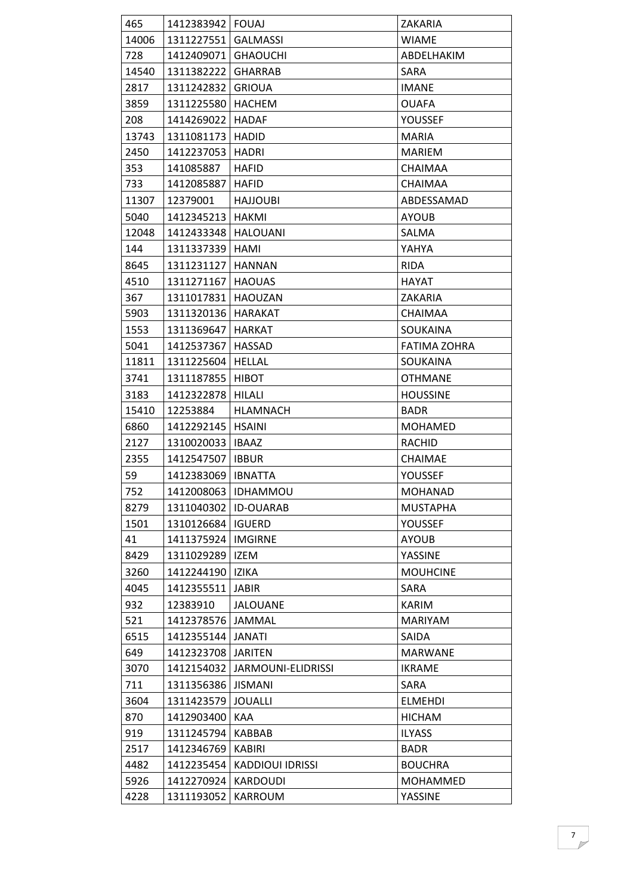| 465   | 1412383942   FOUAJ     |                         | ZAKARIA             |
|-------|------------------------|-------------------------|---------------------|
| 14006 | 1311227551 GALMASSI    |                         | <b>WIAME</b>        |
| 728   | 1412409071             | <b>GHAOUCHI</b>         | ABDELHAKIM          |
| 14540 | 1311382222             | <b>GHARRAB</b>          | SARA                |
| 2817  | 1311242832             | <b>GRIOUA</b>           | <b>IMANE</b>        |
| 3859  | 1311225580             | <b>HACHEM</b>           | <b>OUAFA</b>        |
| 208   | 1414269022             | <b>HADAF</b>            | YOUSSEF             |
| 13743 | 1311081173             | <b>HADID</b>            | <b>MARIA</b>        |
| 2450  | 1412237053             | <b>HADRI</b>            | <b>MARIEM</b>       |
| 353   | 141085887              | <b>HAFID</b>            | <b>CHAIMAA</b>      |
| 733   | 1412085887             | <b>HAFID</b>            | CHAIMAA             |
| 11307 | 12379001               | <b>HAJJOUBI</b>         | ABDESSAMAD          |
| 5040  | 1412345213             | <b>HAKMI</b>            | <b>AYOUB</b>        |
| 12048 | 1412433348             | <b>HALOUANI</b>         | SALMA               |
| 144   | 1311337339             | <b>HAMI</b>             | YAHYA               |
| 8645  | 1311231127             | <b>HANNAN</b>           | <b>RIDA</b>         |
| 4510  | 1311271167             | <b>HAOUAS</b>           | <b>HAYAT</b>        |
| 367   | 1311017831             | <b>HAOUZAN</b>          | ZAKARIA             |
| 5903  | 1311320136             | HARAKAT                 | CHAIMAA             |
| 1553  | 1311369647             | HARKAT                  | SOUKAINA            |
| 5041  | 1412537367             | <b>HASSAD</b>           | <b>FATIMA ZOHRA</b> |
| 11811 | 1311225604             | <b>HELLAL</b>           | SOUKAINA            |
| 3741  | 1311187855             | <b>HIBOT</b>            | <b>OTHMANE</b>      |
| 3183  | 1412322878             | HILALI                  | <b>HOUSSINE</b>     |
| 15410 | 12253884               | <b>HLAMNACH</b>         | <b>BADR</b>         |
| 6860  | 1412292145   HSAINI    |                         | <b>MOHAMED</b>      |
| 2127  | 1310020033   IBAAZ     |                         | RACHID              |
| 2355  | 1412547507   IBBUR     |                         | <b>CHAIMAE</b>      |
| 59    | 1412383069             | <b>IBNATTA</b>          | YOUSSEF             |
| 752   |                        | 1412008063   IDHAMMOU   | MOHANAD             |
| 8279  | 1311040302   ID-OUARAB |                         | <b>MUSTAPHA</b>     |
| 1501  | 1310126684   IGUERD    |                         | YOUSSEF             |
| 41    | 1411375924             | <b>IMGIRNE</b>          | <b>AYOUB</b>        |
| 8429  | 1311029289             | <b>IZEM</b>             | YASSINE             |
| 3260  | 1412244190             | IZIKA                   | <b>MOUHCINE</b>     |
| 4045  | 1412355511             | <b>JABIR</b>            | SARA                |
| 932   | 12383910               | <b>JALOUANE</b>         | <b>KARIM</b>        |
| 521   | 1412378576             | <b>JAMMAL</b>           | <b>MARIYAM</b>      |
| 6515  | 1412355144             | JANATI                  | SAIDA               |
| 649   | 1412323708   JARITEN   |                         | <b>MARWANE</b>      |
| 3070  | 1412154032             | JARMOUNI-ELIDRISSI      | <b>IKRAME</b>       |
| 711   | 1311356386             | <b>JISMANI</b>          | SARA                |
| 3604  | 1311423579             | <b>JOUALLI</b>          | <b>ELMEHDI</b>      |
| 870   | 1412903400             | KAA                     | <b>HICHAM</b>       |
| 919   | 1311245794             | <b>KABBAB</b>           | <b>ILYASS</b>       |
| 2517  | 1412346769             | <b>KABIRI</b>           | <b>BADR</b>         |
| 4482  | 1412235454             | <b>KADDIOUI IDRISSI</b> | <b>BOUCHRA</b>      |
| 5926  | 1412270924             | KARDOUDI                | MOHAMMED            |
| 4228  | 1311193052             | <b>KARROUM</b>          | YASSINE             |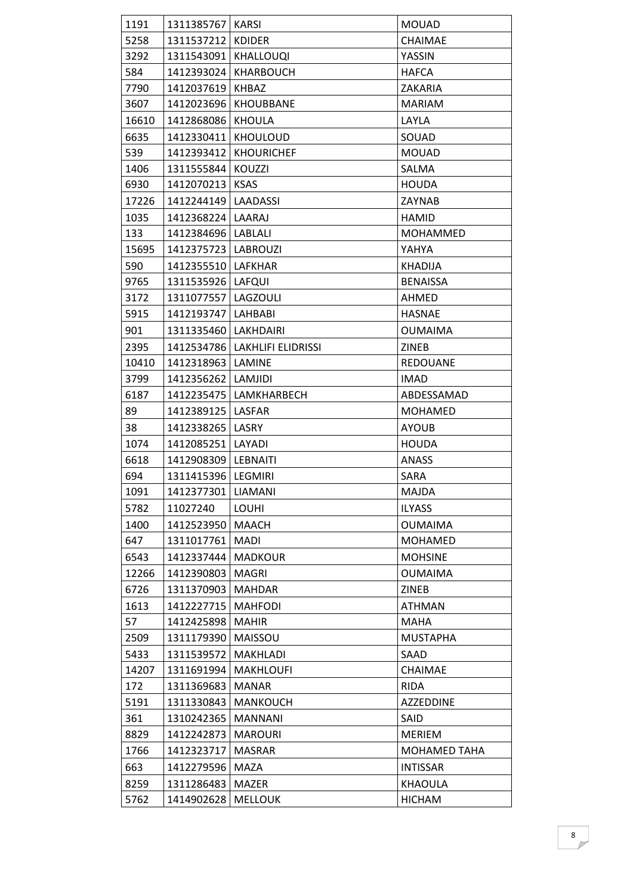| 1191  | 1311385767   KARSI     |                                 | <b>MOUAD</b>        |
|-------|------------------------|---------------------------------|---------------------|
| 5258  | 1311537212   KDIDER    |                                 | CHAIMAE             |
| 3292  | 1311543091   KHALLOUQI |                                 | YASSIN              |
| 584   |                        | 1412393024   KHARBOUCH          | <b>HAFCA</b>        |
| 7790  | 1412037619   KHBAZ     |                                 | ZAKARIA             |
| 3607  |                        | 1412023696   KHOUBBANE          | <b>MARIAM</b>       |
| 16610 | 1412868086             | KHOULA                          | LAYLA               |
| 6635  | 1412330411             | <b>KHOULOUD</b>                 | SOUAD               |
| 539   | 1412393412             | <b>KHOURICHEF</b>               | <b>MOUAD</b>        |
| 1406  | 1311555844             | KOUZZI                          | SALMA               |
| 6930  | 1412070213             | <b>KSAS</b>                     | <b>HOUDA</b>        |
| 17226 | 1412244149   LAADASSI  |                                 | ZAYNAB              |
| 1035  | 1412368224   LAARAJ    |                                 | <b>HAMID</b>        |
| 133   | 1412384696   LABLALI   |                                 | <b>MOHAMMED</b>     |
| 15695 | 1412375723   LABROUZI  |                                 | YAHYA               |
| 590   | 1412355510 LAFKHAR     |                                 | <b>KHADIJA</b>      |
| 9765  | 1311535926   LAFQUI    |                                 | <b>BENAISSA</b>     |
| 3172  | 1311077557             | LAGZOULI                        | AHMED               |
| 5915  | 1412193747   LAHBABI   |                                 | <b>HASNAE</b>       |
| 901   | 1311335460   LAKHDAIRI |                                 | <b>OUMAIMA</b>      |
| 2395  |                        | 1412534786   LAKHLIFI ELIDRISSI | <b>ZINEB</b>        |
| 10410 | 1412318963   LAMINE    |                                 | <b>REDOUANE</b>     |
| 3799  | 1412356262   LAMJIDI   |                                 | <b>IMAD</b>         |
| 6187  |                        | 1412235475   LAMKHARBECH        | ABDESSAMAD          |
| 89    | 1412389125             | <b>LASFAR</b>                   | <b>MOHAMED</b>      |
| 38    | 1412338265   LASRY     |                                 | <b>AYOUB</b>        |
| 1074  | 1412085251   LAYADI    |                                 | <b>HOUDA</b>        |
| 6618  | 1412908309   LEBNAITI  |                                 | <b>ANASS</b>        |
| 694   | 1311415396   LEGMIRI   |                                 | SARA                |
| 1091  | 1412377301 LIAMANI     |                                 | MAJDA               |
| 5782  | 11027240               | <b>LOUHI</b>                    | <b>ILYASS</b>       |
| 1400  | 1412523950             | <b>MAACH</b>                    | <b>OUMAIMA</b>      |
| 647   | 1311017761             | <b>MADI</b>                     | <b>MOHAMED</b>      |
| 6543  | 1412337444             | <b>MADKOUR</b>                  | <b>MOHSINE</b>      |
| 12266 | 1412390803             | <b>MAGRI</b>                    | <b>OUMAIMA</b>      |
| 6726  | 1311370903             | <b>MAHDAR</b>                   | ZINEB               |
| 1613  | 1412227715             | <b>MAHFODI</b>                  | <b>ATHMAN</b>       |
| 57    | 1412425898             | <b>MAHIR</b>                    | <b>MAHA</b>         |
| 2509  | 1311179390             | MAISSOU                         | <b>MUSTAPHA</b>     |
| 5433  | 1311539572             | <b>MAKHLADI</b>                 | SAAD                |
| 14207 | 1311691994             | <b>MAKHLOUFI</b>                | CHAIMAE             |
| 172   | 1311369683             | <b>MANAR</b>                    | <b>RIDA</b>         |
| 5191  | 1311330843             | <b>MANKOUCH</b>                 | AZZEDDINE           |
| 361   | 1310242365             | <b>MANNANI</b>                  | SAID                |
| 8829  | 1412242873             | <b>MAROURI</b>                  | <b>MERIEM</b>       |
| 1766  | 1412323717             | <b>MASRAR</b>                   | <b>MOHAMED TAHA</b> |
| 663   | 1412279596             | MAZA                            | <b>INTISSAR</b>     |
| 8259  | 1311286483             | <b>MAZER</b>                    | <b>KHAOULA</b>      |
| 5762  | 1414902628             | <b>MELLOUK</b>                  | <b>HICHAM</b>       |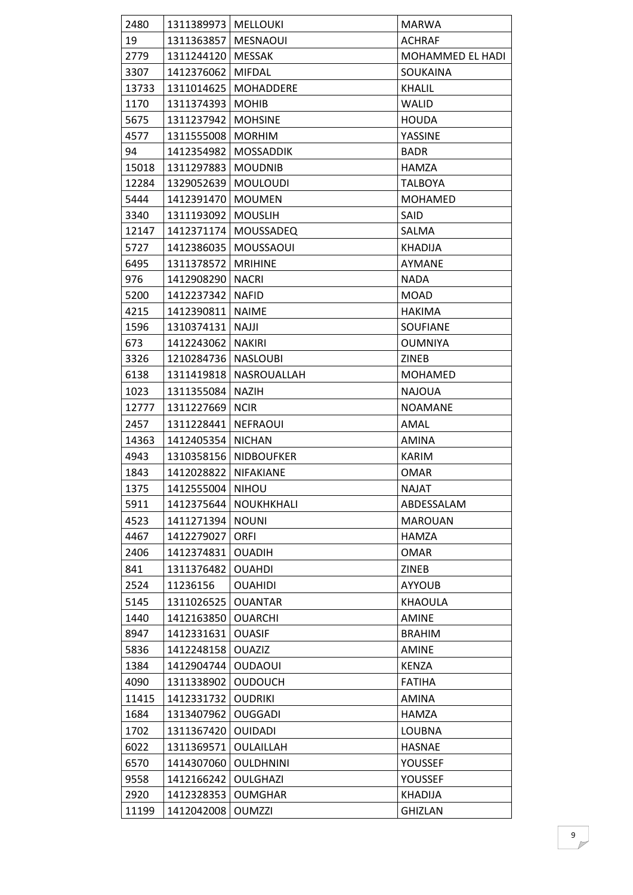| 2480  | 1311389973   MELLOUKI |                        | <b>MARWA</b>     |
|-------|-----------------------|------------------------|------------------|
| 19    | 1311363857   MESNAOUI |                        | <b>ACHRAF</b>    |
| 2779  | 1311244120   MESSAK   |                        | MOHAMMED EL HADI |
| 3307  | 1412376062   MIFDAL   |                        | SOUKAINA         |
| 13733 |                       | 1311014625   MOHADDERE | <b>KHALIL</b>    |
| 1170  | 1311374393   MOHIB    |                        | WALID            |
| 5675  | 1311237942   MOHSINE  |                        | <b>HOUDA</b>     |
| 4577  | 1311555008   MORHIM   |                        | YASSINE          |
| 94    |                       | 1412354982   MOSSADDIK | <b>BADR</b>      |
| 15018 | 1311297883   MOUDNIB  |                        | <b>HAMZA</b>     |
| 12284 | 1329052639            | <b>MOULOUDI</b>        | <b>TALBOYA</b>   |
| 5444  | 1412391470   MOUMEN   |                        | <b>MOHAMED</b>   |
| 3340  | 1311193092   MOUSLIH  |                        | SAID             |
| 12147 |                       | 1412371174   MOUSSADEQ | SALMA            |
| 5727  |                       | 1412386035   MOUSSAOUI | KHADIJA          |
| 6495  | 1311378572   MRIHINE  |                        | AYMANE           |
| 976   | 1412908290   NACRI    |                        | <b>NADA</b>      |
| 5200  | 1412237342   NAFID    |                        | <b>MOAD</b>      |
| 4215  | 1412390811   NAIME    |                        | <b>HAKIMA</b>    |
| 1596  | 1310374131 NAJJI      |                        | <b>SOUFIANE</b>  |
| 673   | 1412243062   NAKIRI   |                        | <b>OUMNIYA</b>   |
| 3326  | 1210284736   NASLOUBI |                        | ZINEB            |
| 6138  | 1311419818            | NASROUALLAH            | <b>MOHAMED</b>   |
| 1023  | 1311355084            | <b>NAZIH</b>           | <b>NAJOUA</b>    |
| 12777 | 1311227669   NCIR     |                        | <b>NOAMANE</b>   |
| 2457  | 1311228441            | <b>NEFRAOUI</b>        | AMAL             |
| 14363 | 1412405354            | <b>NICHAN</b>          | <b>AMINA</b>     |
| 4943  | 1310358156            | <b>NIDBOUFKER</b>      | KARIM            |
| 1843  | 1412028822 NIFAKIANE  |                        | OMAR             |
| 1375  | 1412555004 NIHOU      |                        | <b>NAJAT</b>     |
| 5911  |                       | 1412375644 NOUKHKHALI  | ABDESSALAM       |
| 4523  | 1411271394            | <b>NOUNI</b>           | <b>MAROUAN</b>   |
| 4467  | 1412279027            | <b>ORFI</b>            | <b>HAMZA</b>     |
| 2406  | 1412374831            | <b>OUADIH</b>          | OMAR             |
| 841   | 1311376482            | <b>OUAHDI</b>          | <b>ZINEB</b>     |
| 2524  | 11236156              | <b>OUAHIDI</b>         | <b>AYYOUB</b>    |
| 5145  | 1311026525            | <b>OUANTAR</b>         | <b>KHAOULA</b>   |
| 1440  | 1412163850            | <b>OUARCHI</b>         | <b>AMINE</b>     |
| 8947  | 1412331631            | <b>OUASIF</b>          | <b>BRAHIM</b>    |
| 5836  | 1412248158            | <b>OUAZIZ</b>          | AMINE            |
| 1384  | 1412904744            | <b>OUDAOUI</b>         | <b>KENZA</b>     |
| 4090  | 1311338902            | <b>OUDOUCH</b>         | <b>FATIHA</b>    |
| 11415 | 1412331732            | <b>OUDRIKI</b>         | AMINA            |
| 1684  | 1313407962            | <b>OUGGADI</b>         | <b>HAMZA</b>     |
| 1702  | 1311367420            | <b>OUIDADI</b>         | <b>LOUBNA</b>    |
| 6022  | 1311369571            | <b>OULAILLAH</b>       | <b>HASNAE</b>    |
| 6570  | 1414307060            | <b>OULDHNINI</b>       | YOUSSEF          |
| 9558  | 1412166242            | <b>OULGHAZI</b>        | YOUSSEF          |
| 2920  | 1412328353            | <b>OUMGHAR</b>         | KHADIJA          |
| 11199 | 1412042008            | <b>OUMZZI</b>          | <b>GHIZLAN</b>   |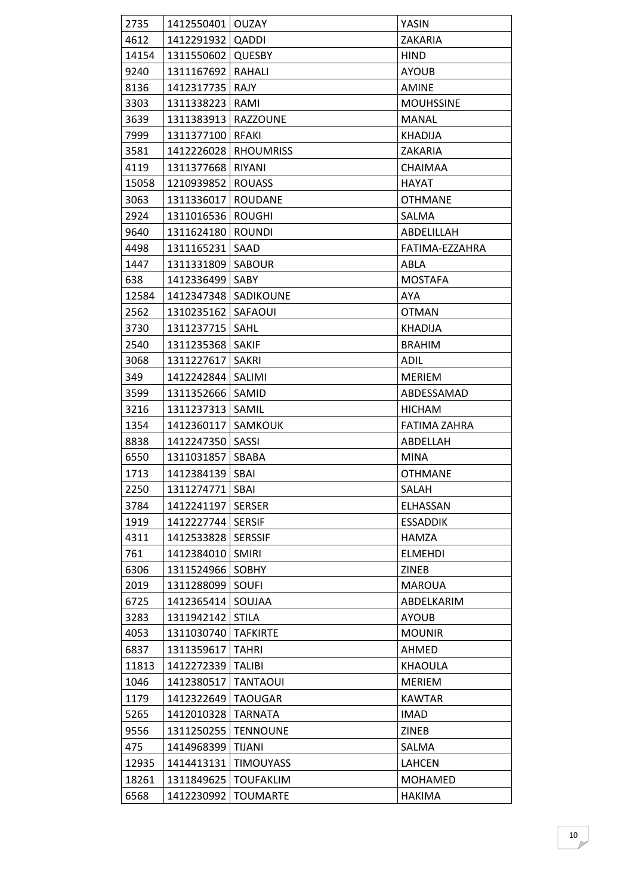| 2735  | 1412550401 OUZAY    |                  | YASIN            |
|-------|---------------------|------------------|------------------|
| 4612  | 1412291932   QADDI  |                  | ZAKARIA          |
| 14154 | 1311550602 QUESBY   |                  | <b>HIND</b>      |
| 9240  | 1311167692          | RAHALI           | <b>AYOUB</b>     |
| 8136  | 1412317735          | RAJY             | AMINE            |
| 3303  | 1311338223          | RAMI             | <b>MOUHSSINE</b> |
| 3639  | 1311383913          | <b>RAZZOUNE</b>  | <b>MANAL</b>     |
| 7999  | 1311377100          | RFAKI            | <b>KHADIJA</b>   |
| 3581  | 1412226028          | <b>RHOUMRISS</b> | ZAKARIA          |
| 4119  | 1311377668          | RIYANI           | <b>CHAIMAA</b>   |
| 15058 | 1210939852          | <b>ROUASS</b>    | <b>HAYAT</b>     |
| 3063  | 1311336017          | <b>ROUDANE</b>   | <b>OTHMANE</b>   |
| 2924  | 1311016536          | <b>ROUGHI</b>    | SALMA            |
| 9640  | 1311624180          | <b>ROUNDI</b>    | ABDELILLAH       |
| 4498  | 1311165231          | SAAD             | FATIMA-EZZAHRA   |
| 1447  | 1311331809          | SABOUR           | ABLA             |
| 638   | 1412336499          | SABY             | <b>MOSTAFA</b>   |
| 12584 | 1412347348          | <b>SADIKOUNE</b> | AYA              |
| 2562  | 1310235162          | SAFAOUI          | <b>OTMAN</b>     |
| 3730  | 1311237715          | SAHL             | <b>KHADIJA</b>   |
| 2540  | 1311235368          | <b>SAKIF</b>     | <b>BRAHIM</b>    |
| 3068  | 1311227617          | <b>SAKRI</b>     | ADIL             |
| 349   | 1412242844          | SALIMI           | <b>MERIEM</b>    |
| 3599  | 1311352666   SAMID  |                  | ABDESSAMAD       |
| 3216  | 1311237313          | <b>SAMIL</b>     | <b>HICHAM</b>    |
| 1354  | 1412360117          | SAMKOUK          | FATIMA ZAHRA     |
| 8838  | 1412247350          | SASSI            | ABDELLAH         |
| 6550  | 1311031857   SBABA  |                  | <b>MINA</b>      |
| 1713  | 1412384139          | SBAI             | <b>OTHMANE</b>   |
| 2250  | 1311274771 SBAI     |                  | SALAH            |
| 3784  | 1412241197   SERSER |                  | <b>ELHASSAN</b>  |
| 1919  | 1412227744   SERSIF |                  | <b>ESSADDIK</b>  |
| 4311  | 1412533828          | <b>SERSSIF</b>   | HAMZA            |
| 761   | 1412384010          | <b>SMIRI</b>     | <b>ELMEHDI</b>   |
| 6306  | 1311524966          | <b>SOBHY</b>     | ZINEB            |
| 2019  | 1311288099          | <b>SOUFI</b>     | <b>MAROUA</b>    |
| 6725  | 1412365414          | SOUJAA           | ABDELKARIM       |
| 3283  | 1311942142          | <b>STILA</b>     | <b>AYOUB</b>     |
| 4053  | 1311030740          | <b>TAFKIRTE</b>  | <b>MOUNIR</b>    |
| 6837  | 1311359617          | <b>TAHRI</b>     | AHMED            |
| 11813 | 1412272339          | <b>TALIBI</b>    | KHAOULA          |
| 1046  | 1412380517          | <b>TANTAOUI</b>  | <b>MERIEM</b>    |
| 1179  | 1412322649          | <b>TAOUGAR</b>   | <b>KAWTAR</b>    |
| 5265  | 1412010328          | <b>TARNATA</b>   | <b>IMAD</b>      |
| 9556  | 1311250255          | <b>TENNOUNE</b>  | ZINEB            |
| 475   | 1414968399          | <b>TIJANI</b>    | SALMA            |
| 12935 | 1414413131          | <b>TIMOUYASS</b> | LAHCEN           |
| 18261 | 1311849625          | <b>TOUFAKLIM</b> | <b>MOHAMED</b>   |
| 6568  | 1412230992          | <b>TOUMARTE</b>  | <b>HAKIMA</b>    |